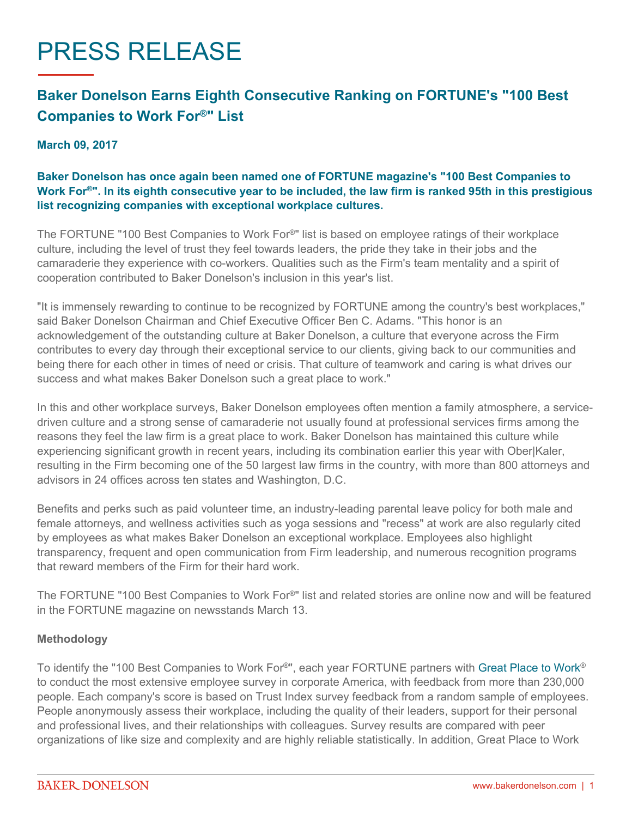# PRESS RELEASE

## **Baker Donelson Earns Eighth Consecutive Ranking on FORTUNE's "100 Best Companies to Work For®" List**

#### **March 09, 2017**

### **Baker Donelson has once again been named one of FORTUNE magazine's "100 Best Companies to Work For®". In its eighth consecutive year to be included, the law firm is ranked 95th in this prestigious list recognizing companies with exceptional workplace cultures.**

The FORTUNE "100 Best Companies to Work For®" list is based on employee ratings of their workplace culture, including the level of trust they feel towards leaders, the pride they take in their jobs and the camaraderie they experience with co-workers. Qualities such as the Firm's team mentality and a spirit of cooperation contributed to Baker Donelson's inclusion in this year's list.

"It is immensely rewarding to continue to be recognized by FORTUNE among the country's best workplaces," said Baker Donelson Chairman and Chief Executive Officer Ben C. Adams. "This honor is an acknowledgement of the outstanding culture at Baker Donelson, a culture that everyone across the Firm contributes to every day through their exceptional service to our clients, giving back to our communities and being there for each other in times of need or crisis. That culture of teamwork and caring is what drives our success and what makes Baker Donelson such a great place to work."

In this and other workplace surveys, Baker Donelson employees often mention a family atmosphere, a servicedriven culture and a strong sense of camaraderie not usually found at professional services firms among the reasons they feel the law firm is a great place to work. Baker Donelson has maintained this culture while experiencing significant growth in recent years, including its combination earlier this year with Ober|Kaler, resulting in the Firm becoming one of the 50 largest law firms in the country, with more than 800 attorneys and advisors in 24 offices across ten states and Washington, D.C.

Benefits and perks such as paid volunteer time, an industry-leading parental leave policy for both male and female attorneys, and wellness activities such as yoga sessions and "recess" at work are also regularly cited by employees as what makes Baker Donelson an exceptional workplace. Employees also highlight transparency, frequent and open communication from Firm leadership, and numerous recognition programs that reward members of the Firm for their hard work.

The FORTUNE "100 Best Companies to Work For®" list and related stories are online now and will be featured in the FORTUNE magazine on newsstands March 13.

#### **Methodology**

To identify the "100 Best Companies to Work For®", each year FORTUNE partners with [Great Place to Work](http://www.greatplacetowork.com/)® to conduct the most extensive employee survey in corporate America, with feedback from more than 230,000 people. Each company's score is based on Trust Index survey feedback from a random sample of employees. People anonymously assess their workplace, including the quality of their leaders, support for their personal and professional lives, and their relationships with colleagues. Survey results are compared with peer organizations of like size and complexity and are highly reliable statistically. In addition, Great Place to Work